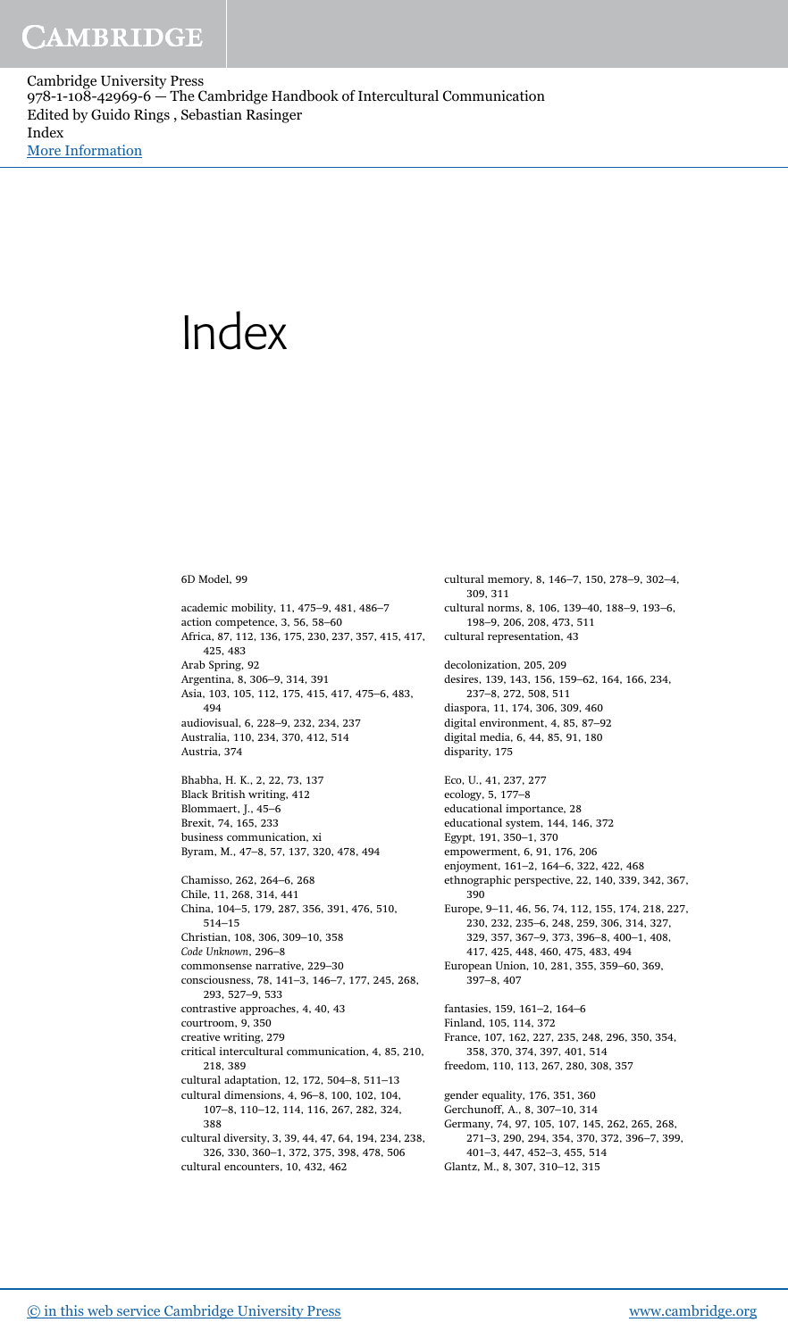Cambridge University Press 978-1-108-42969-6 — The Cambridge Handbook of Intercultural Communication Edited by Guido Rings , Sebastian Rasinger Index [More Information](www.cambridge.org/9781108429696)

## Index

6D Model, 99

academic mobility, 11, 475–9, 481, 486–7 action competence, 3, 56, 58–60 Africa, 87, 112, 136, 175, 230, 237, 357, 415, 417, 425, 483 Arab Spring, 92 Argentina, 8, 306–9, 314, 391 Asia, 103, 105, 112, 175, 415, 417, 475–6, 483, 494 audiovisual, 6, 228–9, 232, 234, 237 Australia, 110, 234, 370, 412, 514 Austria, 374 Bhabha, H. K., 2, 22, 73, 137 Black British writing, 412 Blommaert, J., 45–6 Brexit, 74, 165, 233 business communication, xi Byram, M., 47–8, 57, 137, 320, 478, 494 Chamisso, 262, 264–6, 268 Chile, 11, 268, 314, 441 China, 104–5, 179, 287, 356, 391, 476, 510, 514–15 Christian, 108, 306, 309–10, 358 *Code Unknown*, 296–8 commonsense narrative, 229–30 consciousness, 78, 141–3, 146–7, 177, 245, 268, 293, 527–9, 533 contrastive approaches, 4, 40, 43 courtroom, 9, 350 creative writing, 279 critical intercultural communication, 4, 85, 210, 218, 389 cultural adaptation, 12, 172, 504–8, 511–13 cultural dimensions, 4, 96–8, 100, 102, 104, 107–8, 110–12, 114, 116, 267, 282, 324, 388 cultural diversity, 3, 39, 44, 47, 64, 194, 234, 238, 326, 330, 360–1, 372, 375, 398, 478, 506 cultural encounters, 10, 432, 462

cultural memory, 8, 146–7, 150, 278–9, 302–4, 309, 311 cultural norms, 8, 106, 139–40, 188–9, 193–6, 198–9, 206, 208, 473, 511 cultural representation, 43 decolonization, 205, 209 desires, 139, 143, 156, 159–62, 164, 166, 234, 237–8, 272, 508, 511 diaspora, 11, 174, 306, 309, 460 digital environment, 4, 85, 87–92 digital media, 6, 44, 85, 91, 180 disparity, 175 Eco, U., 41, 237, 277 ecology, 5, 177–8 educational importance, 28 educational system, 144, 146, 372 Egypt, 191, 350–1, 370 empowerment, 6, 91, 176, 206 enjoyment, 161–2, 164–6, 322, 422, 468 ethnographic perspective, 22, 140, 339, 342, 367, 390 Europe, 9–11, 46, 56, 74, 112, 155, 174, 218, 227, 230, 232, 235–6, 248, 259, 306, 314, 327, 329, 357, 367–9, 373, 396–8, 400–1, 408, 417, 425, 448, 460, 475, 483, 494 European Union, 10, 281, 355, 359–60, 369, 397–8, 407 fantasies, 159, 161–2, 164–6 Finland, 105, 114, 372 France, 107, 162, 227, 235, 248, 296, 350, 354, 358, 370, 374, 397, 401, 514 freedom, 110, 113, 267, 280, 308, 357 gender equality, 176, 351, 360 Gerchunoff, A., 8, 307–10, 314 Germany, 74, 97, 105, 107, 145, 262, 265, 268, 271–3, 290, 294, 354, 370, 372, 396–7, 399, 401–3, 447, 452–3, 455, 514 Glantz, M., 8, 307, 310–12, 315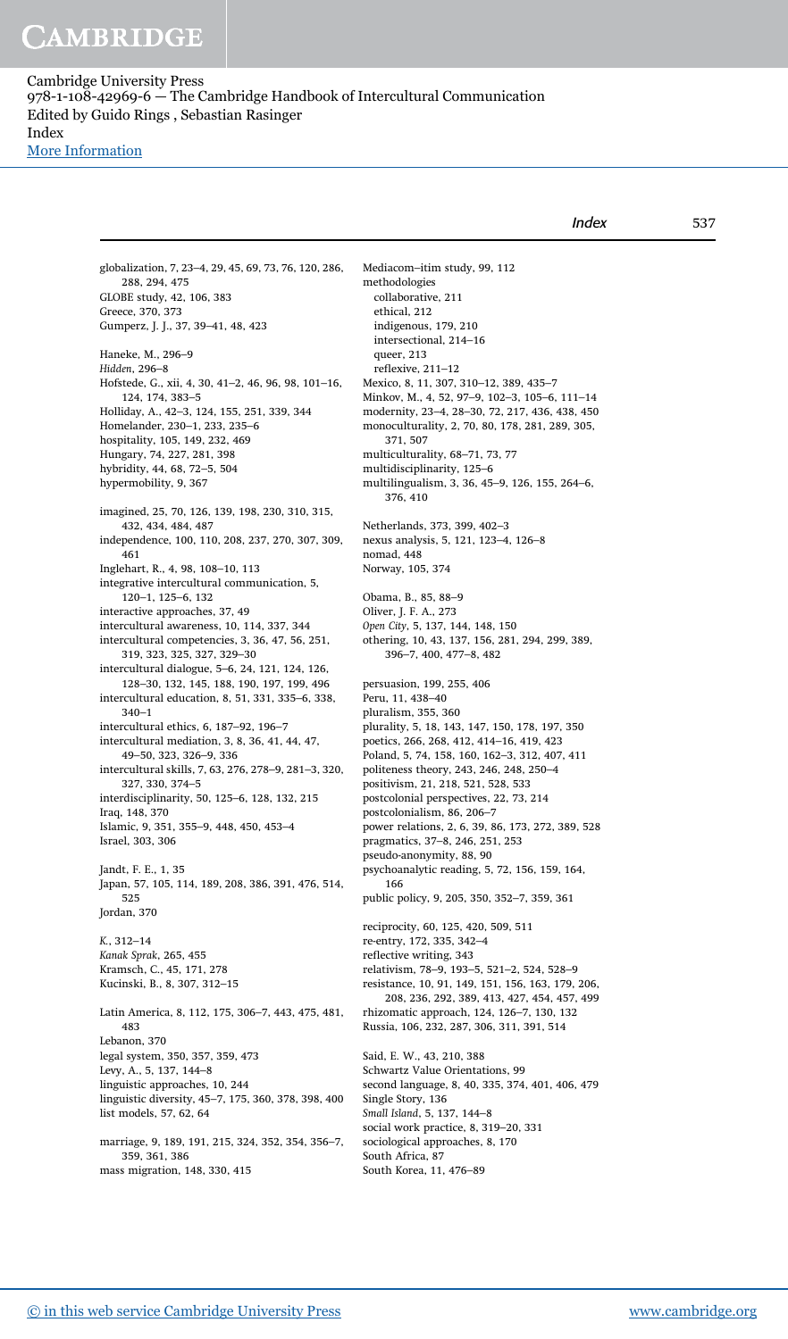[More Information](www.cambridge.org/9781108429696)

| Index | 537 |
|-------|-----|
|       |     |

globalization, 7, 23–4, 29, 45, 69, 73, 76, 120, 286, 288, 294, 475 GLOBE study, 42, 106, 383 Greece, 370, 373 Gumperz, J. J., 37, 39–41, 48, 423 Haneke, M., 296–9 *Hidden*, 296–8 Hofstede, G., xii, 4, 30, 41–2, 46, 96, 98, 101–16, 124, 174, 383–5 Holliday, A., 42–3, 124, 155, 251, 339, 344 Homelander, 230–1, 233, 235–6 hospitality, 105, 149, 232, 469 Hungary, 74, 227, 281, 398 hybridity, 44, 68, 72–5, 504 hypermobility, 9, 367 imagined, 25, 70, 126, 139, 198, 230, 310, 315, 432, 434, 484, 487 independence, 100, 110, 208, 237, 270, 307, 309, 461 Inglehart, R., 4, 98, 108–10, 113 integrative intercultural communication, 5, 120–1, 125–6, 132 interactive approaches, 37, 49 intercultural awareness, 10, 114, 337, 344 intercultural competencies, 3, 36, 47, 56, 251, 319, 323, 325, 327, 329–30 intercultural dialogue, 5–6, 24, 121, 124, 126, 128–30, 132, 145, 188, 190, 197, 199, 496 intercultural education, 8, 51, 331, 335–6, 338, 340–1 intercultural ethics, 6, 187–92, 196–7 intercultural mediation, 3, 8, 36, 41, 44, 47, 49–50, 323, 326–9, 336 intercultural skills, 7, 63, 276, 278–9, 281–3, 320, 327, 330, 374–5 interdisciplinarity, 50, 125–6, 128, 132, 215 Iraq, 148, 370 Islamic, 9, 351, 355–9, 448, 450, 453–4 Israel, 303, 306 Jandt, F. E., 1, 35 Japan, 57, 105, 114, 189, 208, 386, 391, 476, 514, 525 Jordan, 370 *K.*, 312–14 *Kanak Sprak*, 265, 455 Kramsch, C., 45, 171, 278 Kucinski, B., 8, 307, 312–15 Latin America, 8, 112, 175, 306–7, 443, 475, 481, 483 Lebanon, 370 legal system, 350, 357, 359, 473 Levy, A., 5, 137, 144–8 linguistic approaches, 10, 244 linguistic diversity, 45–7, 175, 360, 378, 398, 400 list models, 57, 62, 64 marriage, 9, 189, 191, 215, 324, 352, 354, 356–7, 359, 361, 386 mass migration, 148, 330, 415

Mediacom–itim study, 99, 112 methodologies collaborative, 211 ethical, 212 indigenous, 179, 210 intersectional, 214–16 queer, 213 reflexive, 211–12 Mexico, 8, 11, 307, 310–12, 389, 435–7 Minkov, M., 4, 52, 97–9, 102–3, 105–6, 111–14 modernity, 23–4, 28–30, 72, 217, 436, 438, 450 monoculturality, 2, 70, 80, 178, 281, 289, 305, 371, 507 multiculturality, 68–71, 73, 77 multidisciplinarity, 125–6 multilingualism, 3, 36, 45–9, 126, 155, 264–6, 376, 410 Netherlands, 373, 399, 402–3 nexus analysis, 5, 121, 123–4, 126–8 nomad, 448 Norway, 105, 374 Obama, B., 85, 88–9 Oliver, J. F. A., 273 *Open City*, 5, 137, 144, 148, 150 othering, 10, 43, 137, 156, 281, 294, 299, 389, 396–7, 400, 477–8, 482 persuasion, 199, 255, 406 Peru, 11, 438–40 pluralism, 355, 360 plurality, 5, 18, 143, 147, 150, 178, 197, 350 poetics, 266, 268, 412, 414–16, 419, 423 Poland, 5, 74, 158, 160, 162–3, 312, 407, 411 politeness theory, 243, 246, 248, 250–4 positivism, 21, 218, 521, 528, 533 postcolonial perspectives, 22, 73, 214 postcolonialism, 86, 206–7 power relations, 2, 6, 39, 86, 173, 272, 389, 528 pragmatics, 37–8, 246, 251, 253 pseudo-anonymity, 88, 90 psychoanalytic reading, 5, 72, 156, 159, 164, 166 public policy, 9, 205, 350, 352–7, 359, 361 reciprocity, 60, 125, 420, 509, 511 re-entry, 172, 335, 342–4 reflective writing, 343 relativism, 78–9, 193–5, 521–2, 524, 528–9 resistance, 10, 91, 149, 151, 156, 163, 179, 206, 208, 236, 292, 389, 413, 427, 454, 457, 499 rhizomatic approach, 124, 126–7, 130, 132 Russia, 106, 232, 287, 306, 311, 391, 514 Said, E. W., 43, 210, 388 Schwartz Value Orientations, 99 second language, 8, 40, 335, 374, 401, 406, 479 Single Story, 136 *Small Island*, 5, 137, 144–8 social work practice, 8, 319–20, 331 sociological approaches, 8, 170 South Africa, 87

South Korea, 11, 476–89